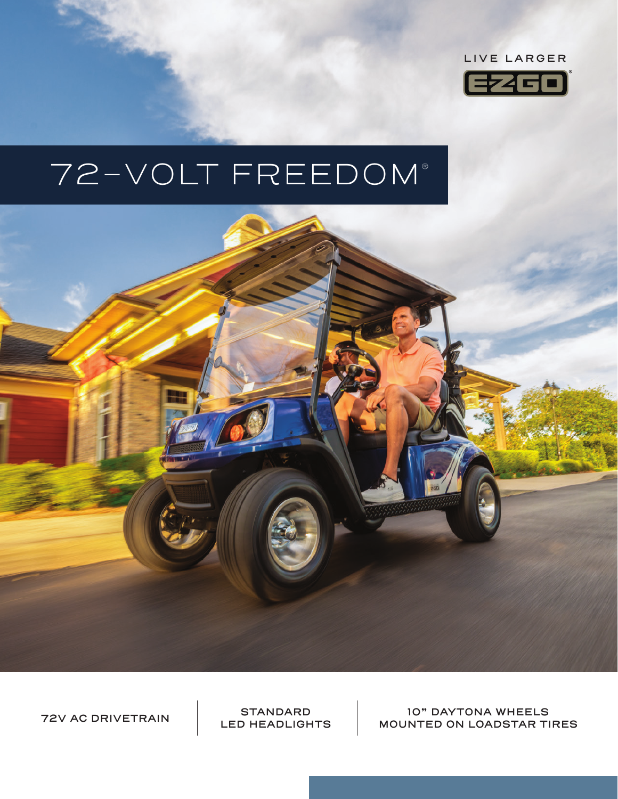

# 72-VOLT FREEDOM®



**LED HEADLIGHTS**

**10" DAYTONA WHEELS MOUNTED ON LOADSTAR AND ACTAIN** STANDARD **10" DAYTONA WHEELS**<br>LED HEADLIGHTS MOUNTED ON LOADSTAR TIRES